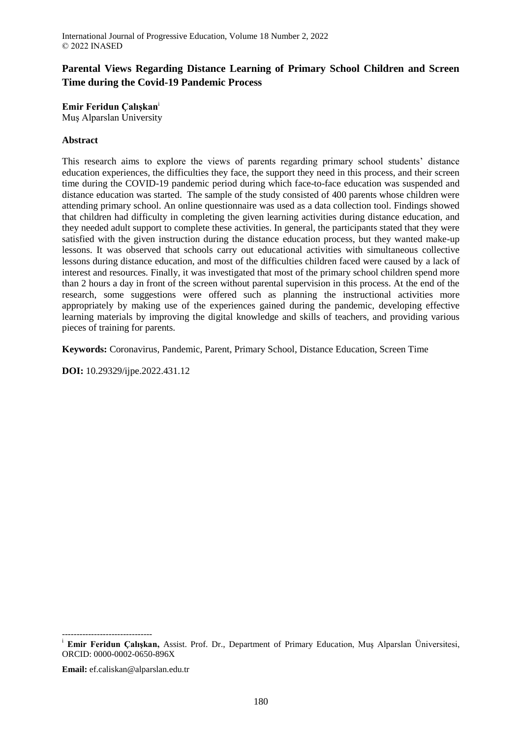# **Parental Views Regarding Distance Learning of Primary School Children and Screen Time during the Covid-19 Pandemic Process**

**Emir Feridun Çalışkan**<sup>i</sup> Muş Alparslan University

# **Abstract**

This research aims to explore the views of parents regarding primary school students' distance education experiences, the difficulties they face, the support they need in this process, and their screen time during the COVID-19 pandemic period during which face-to-face education was suspended and distance education was started. The sample of the study consisted of 400 parents whose children were attending primary school. An online questionnaire was used as a data collection tool. Findings showed that children had difficulty in completing the given learning activities during distance education, and they needed adult support to complete these activities. In general, the participants stated that they were satisfied with the given instruction during the distance education process, but they wanted make-up lessons. It was observed that schools carry out educational activities with simultaneous collective lessons during distance education, and most of the difficulties children faced were caused by a lack of interest and resources. Finally, it was investigated that most of the primary school children spend more than 2 hours a day in front of the screen without parental supervision in this process. At the end of the research, some suggestions were offered such as planning the instructional activities more appropriately by making use of the experiences gained during the pandemic, developing effective learning materials by improving the digital knowledge and skills of teachers, and providing various pieces of training for parents.

**Keywords:** Coronavirus, Pandemic, Parent, Primary School, Distance Education, Screen Time

**DOI:** 10.29329/ijpe.2022.431.12

**Email:** ef.caliskan@alparslan.edu.tr

<sup>------------------------------</sup> <sup>i</sup> **Emir Feridun Çalışkan,** Assist. Prof. Dr., Department of Primary Education, Muş Alparslan Üniversitesi, ORCID: 0000-0002-0650-896X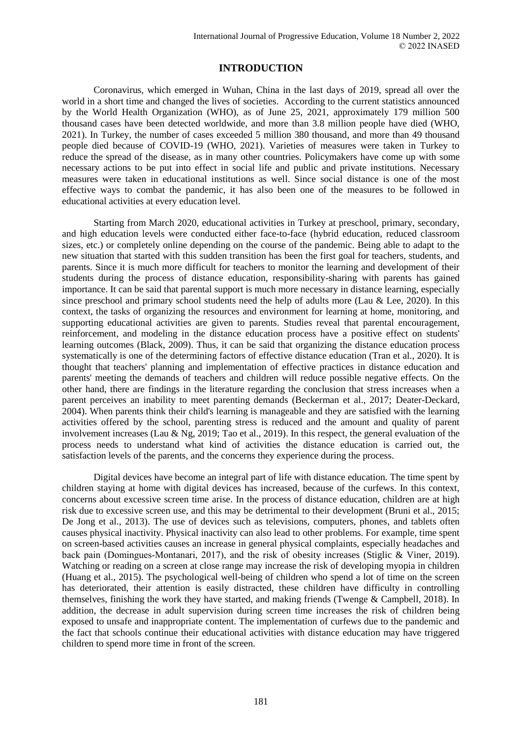# **INTRODUCTION**

Coronavirus, which emerged in Wuhan, China in the last days of 2019, spread all over the world in a short time and changed the lives of societies. According to the current statistics announced by the World Health Organization (WHO), as of June 25, 2021, approximately 179 million 500 thousand cases have been detected worldwide, and more than 3.8 million people have died (WHO, 2021). In Turkey, the number of cases exceeded 5 million 380 thousand, and more than 49 thousand people died because of COVID-19 (WHO, 2021). Varieties of measures were taken in Turkey to reduce the spread of the disease, as in many other countries. Policymakers have come up with some necessary actions to be put into effect in social life and public and private institutions. Necessary measures were taken in educational institutions as well. Since social distance is one of the most effective ways to combat the pandemic, it has also been one of the measures to be followed in educational activities at every education level.

Starting from March 2020, educational activities in Turkey at preschool, primary, secondary, and high education levels were conducted either face-to-face (hybrid education, reduced classroom sizes, etc.) or completely online depending on the course of the pandemic. Being able to adapt to the new situation that started with this sudden transition has been the first goal for teachers, students, and parents. Since it is much more difficult for teachers to monitor the learning and development of their students during the process of distance education, responsibility-sharing with parents has gained importance. It can be said that parental support is much more necessary in distance learning, especially since preschool and primary school students need the help of adults more (Lau & Lee, 2020). In this context, the tasks of organizing the resources and environment for learning at home, monitoring, and supporting educational activities are given to parents. Studies reveal that parental encouragement, reinforcement, and modeling in the distance education process have a positive effect on students' learning outcomes (Black, 2009). Thus, it can be said that organizing the distance education process systematically is one of the determining factors of effective distance education (Tran et al., 2020). It is thought that teachers' planning and implementation of effective practices in distance education and parents' meeting the demands of teachers and children will reduce possible negative effects. On the other hand, there are findings in the literature regarding the conclusion that stress increases when a parent perceives an inability to meet parenting demands (Beckerman et al., 2017; Deater-Deckard, 2004). When parents think their child's learning is manageable and they are satisfied with the learning activities offered by the school, parenting stress is reduced and the amount and quality of parent involvement increases (Lau & Ng, 2019; Tao et al., 2019). In this respect, the general evaluation of the process needs to understand what kind of activities the distance education is carried out, the satisfaction levels of the parents, and the concerns they experience during the process.

Digital devices have become an integral part of life with distance education. The time spent by children staying at home with digital devices has increased, because of the curfews. In this context, concerns about excessive screen time arise. In the process of distance education, children are at high risk due to excessive screen use, and this may be detrimental to their development (Bruni et al., 2015; De Jong et al., 2013). The use of devices such as televisions, computers, phones, and tablets often causes physical inactivity. Physical inactivity can also lead to other problems. For example, time spent on screen-based activities causes an increase in general physical complaints, especially headaches and back pain (Domingues‐Montanari, 2017), and the risk of obesity increases (Stiglic & Viner, 2019). Watching or reading on a screen at close range may increase the risk of developing myopia in children (Huang et al., 2015). The psychological well-being of children who spend a lot of time on the screen has deteriorated, their attention is easily distracted, these children have difficulty in controlling themselves, finishing the work they have started, and making friends (Twenge & Campbell, 2018). In addition, the decrease in adult supervision during screen time increases the risk of children being exposed to unsafe and inappropriate content. The implementation of curfews due to the pandemic and the fact that schools continue their educational activities with distance education may have triggered children to spend more time in front of the screen.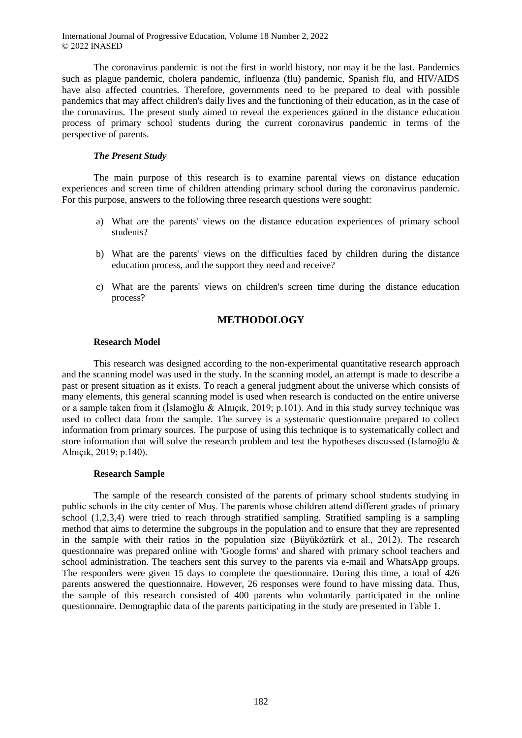The coronavirus pandemic is not the first in world history, nor may it be the last. Pandemics such as plague pandemic, cholera pandemic, influenza (flu) pandemic, Spanish flu, and HIV/AIDS have also affected countries. Therefore, governments need to be prepared to deal with possible pandemics that may affect children's daily lives and the functioning of their education, as in the case of the coronavirus. The present study aimed to reveal the experiences gained in the distance education process of primary school students during the current coronavirus pandemic in terms of the perspective of parents.

# *The Present Study*

The main purpose of this research is to examine parental views on distance education experiences and screen time of children attending primary school during the coronavirus pandemic. For this purpose, answers to the following three research questions were sought:

- a) What are the parents' views on the distance education experiences of primary school students?
- b) What are the parents' views on the difficulties faced by children during the distance education process, and the support they need and receive?
- c) What are the parents' views on children's screen time during the distance education process?

# **METHODOLOGY**

### **Research Model**

This research was designed according to the non-experimental quantitative research approach and the scanning model was used in the study. In the scanning model, an attempt is made to describe a past or present situation as it exists. To reach a general judgment about the universe which consists of many elements, this general scanning model is used when research is conducted on the entire universe or a sample taken from it (İslamoğlu & Alnıçık, 2019; p.101). And in this study survey technique was used to collect data from the sample. The survey is a systematic questionnaire prepared to collect information from primary sources. The purpose of using this technique is to systematically collect and store information that will solve the research problem and test the hypotheses discussed (Islamoğlu & Alnıçık, 2019; p.140).

### **Research Sample**

The sample of the research consisted of the parents of primary school students studying in public schools in the city center of Muş. The parents whose children attend different grades of primary school (1,2,3,4) were tried to reach through stratified sampling. Stratified sampling is a sampling method that aims to determine the subgroups in the population and to ensure that they are represented in the sample with their ratios in the population size (Büyüköztürk et al., 2012). The research questionnaire was prepared online with 'Google forms' and shared with primary school teachers and school administration. The teachers sent this survey to the parents via e-mail and WhatsApp groups. The responders were given 15 days to complete the questionnaire. During this time, a total of 426 parents answered the questionnaire. However, 26 responses were found to have missing data. Thus, the sample of this research consisted of 400 parents who voluntarily participated in the online questionnaire. Demographic data of the parents participating in the study are presented in Table 1.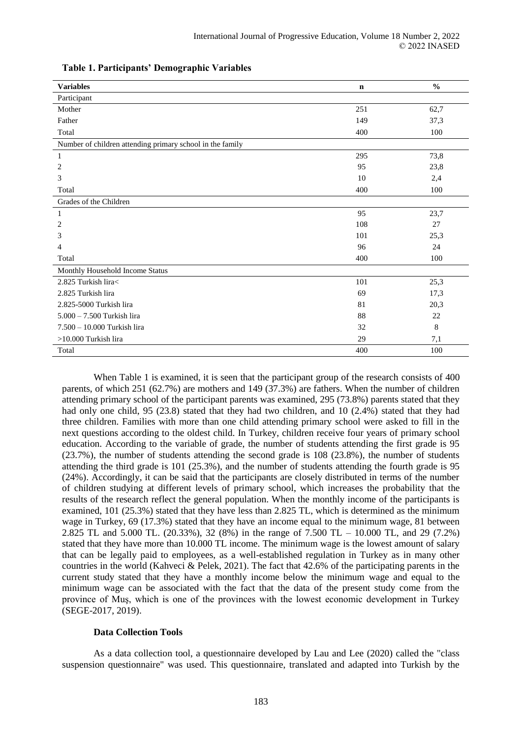| <b>Variables</b>                                          | $\mathbf n$ | $\frac{0}{0}$ |
|-----------------------------------------------------------|-------------|---------------|
| Participant                                               |             |               |
| Mother                                                    | 251         | 62,7          |
| Father                                                    | 149         | 37,3          |
| Total                                                     | 400         | 100           |
| Number of children attending primary school in the family |             |               |
| $\mathbf{1}$                                              | 295         | 73,8          |
| 2                                                         | 95          | 23,8          |
| 3                                                         | 10          | 2,4           |
| Total                                                     | 400         | 100           |
| Grades of the Children                                    |             |               |
| 1                                                         | 95          | 23,7          |
| 2                                                         | 108         | 27            |
| 3                                                         | 101         | 25,3          |
| 4                                                         | 96          | 24            |
| Total                                                     | 400         | 100           |
| Monthly Household Income Status                           |             |               |
| 2.825 Turkish lira<                                       | 101         | 25,3          |
| 2.825 Turkish lira                                        | 69          | 17,3          |
| 2.825-5000 Turkish lira                                   | 81          | 20,3          |
| $5.000 - 7.500$ Turkish lira                              | 88          | 22            |
| 7.500 - 10.000 Turkish lira                               | 32          | 8             |
| >10.000 Turkish lira                                      | 29          | 7,1           |
| Total                                                     | 400         | 100           |

### **Table 1. Participants' Demographic Variables**

When Table 1 is examined, it is seen that the participant group of the research consists of 400 parents, of which 251 (62.7%) are mothers and 149 (37.3%) are fathers. When the number of children attending primary school of the participant parents was examined, 295 (73.8%) parents stated that they had only one child, 95 (23.8) stated that they had two children, and 10 (2.4%) stated that they had three children. Families with more than one child attending primary school were asked to fill in the next questions according to the oldest child. In Turkey, children receive four years of primary school education. According to the variable of grade, the number of students attending the first grade is 95 (23.7%), the number of students attending the second grade is 108 (23.8%), the number of students attending the third grade is 101 (25.3%), and the number of students attending the fourth grade is 95 (24%). Accordingly, it can be said that the participants are closely distributed in terms of the number of children studying at different levels of primary school, which increases the probability that the results of the research reflect the general population. When the monthly income of the participants is examined, 101 (25.3%) stated that they have less than 2.825 TL, which is determined as the minimum wage in Turkey, 69 (17.3%) stated that they have an income equal to the minimum wage, 81 between 2.825 TL and 5.000 TL. (20.33%), 32 (8%) in the range of 7.500 TL – 10.000 TL, and 29 (7.2%) stated that they have more than 10.000 TL income. The minimum wage is the lowest amount of salary that can be legally paid to employees, as a well-established regulation in Turkey as in many other countries in the world (Kahveci & Pelek, 2021). The fact that 42.6% of the participating parents in the current study stated that they have a monthly income below the minimum wage and equal to the minimum wage can be associated with the fact that the data of the present study come from the province of Muş, which is one of the provinces with the lowest economic development in Turkey (SEGE-2017, 2019).

### **Data Collection Tools**

As a data collection tool, a questionnaire developed by Lau and Lee (2020) called the "class suspension questionnaire" was used. This questionnaire, translated and adapted into Turkish by the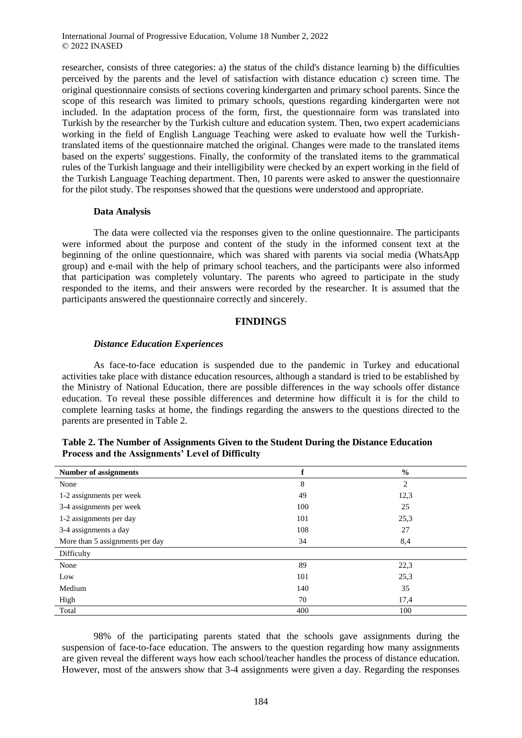researcher, consists of three categories: a) the status of the child's distance learning b) the difficulties perceived by the parents and the level of satisfaction with distance education c) screen time. The original questionnaire consists of sections covering kindergarten and primary school parents. Since the scope of this research was limited to primary schools, questions regarding kindergarten were not included. In the adaptation process of the form, first, the questionnaire form was translated into Turkish by the researcher by the Turkish culture and education system. Then, two expert academicians working in the field of English Language Teaching were asked to evaluate how well the Turkishtranslated items of the questionnaire matched the original. Changes were made to the translated items based on the experts' suggestions. Finally, the conformity of the translated items to the grammatical rules of the Turkish language and their intelligibility were checked by an expert working in the field of the Turkish Language Teaching department. Then, 10 parents were asked to answer the questionnaire for the pilot study. The responses showed that the questions were understood and appropriate.

#### **Data Analysis**

The data were collected via the responses given to the online questionnaire. The participants were informed about the purpose and content of the study in the informed consent text at the beginning of the online questionnaire, which was shared with parents via social media (WhatsApp group) and e-mail with the help of primary school teachers, and the participants were also informed that participation was completely voluntary. The parents who agreed to participate in the study responded to the items, and their answers were recorded by the researcher. It is assumed that the participants answered the questionnaire correctly and sincerely.

### **FINDINGS**

#### *Distance Education Experiences*

As face-to-face education is suspended due to the pandemic in Turkey and educational activities take place with distance education resources, although a standard is tried to be established by the Ministry of National Education, there are possible differences in the way schools offer distance education. To reveal these possible differences and determine how difficult it is for the child to complete learning tasks at home, the findings regarding the answers to the questions directed to the parents are presented in Table 2.

| <b>Number of assignments</b>    | f   | $\frac{0}{0}$ |  |
|---------------------------------|-----|---------------|--|
| None                            | 8   | 2             |  |
| 1-2 assignments per week        | 49  | 12,3          |  |
| 3-4 assignments per week        | 100 | 25            |  |
| 1-2 assignments per day         | 101 | 25,3          |  |
| 3-4 assignments a day           | 108 | 27            |  |
| More than 5 assignments per day | 34  | 8,4           |  |
| Difficulty                      |     |               |  |
| None                            | 89  | 22,3          |  |
| Low                             | 101 | 25,3          |  |
| Medium                          | 140 | 35            |  |
| High                            | 70  | 17,4          |  |
| Total                           | 400 | 100           |  |

| Table 2. The Number of Assignments Given to the Student During the Distance Education |  |
|---------------------------------------------------------------------------------------|--|
| <b>Process and the Assignments' Level of Difficulty</b>                               |  |

98% of the participating parents stated that the schools gave assignments during the suspension of face-to-face education. The answers to the question regarding how many assignments are given reveal the different ways how each school/teacher handles the process of distance education. However, most of the answers show that 3-4 assignments were given a day. Regarding the responses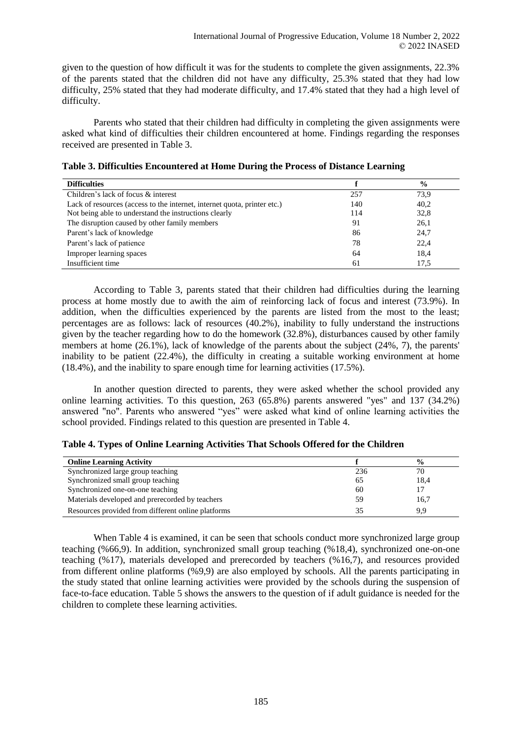given to the question of how difficult it was for the students to complete the given assignments, 22.3% of the parents stated that the children did not have any difficulty, 25.3% stated that they had low difficulty, 25% stated that they had moderate difficulty, and 17.4% stated that they had a high level of difficulty.

Parents who stated that their children had difficulty in completing the given assignments were asked what kind of difficulties their children encountered at home. Findings regarding the responses received are presented in Table 3.

| <b>Difficulties</b>                                                      |     | $\frac{6}{6}$ |
|--------------------------------------------------------------------------|-----|---------------|
| Children's lack of focus & interest                                      | 257 | 73,9          |
| Lack of resources (access to the internet, internet quota, printer etc.) | 140 | 40,2          |
| Not being able to understand the instructions clearly                    | 114 | 32,8          |
| The disruption caused by other family members                            | 91  | 26,1          |
| Parent's lack of knowledge                                               | 86  | 24,7          |
| Parent's lack of patience                                                | 78  | 22,4          |
| Improper learning spaces                                                 | 64  | 18.4          |
| Insufficient time                                                        | 61  | 17.5          |

**Table 3. Difficulties Encountered at Home During the Process of Distance Learning**

According to Table 3, parents stated that their children had difficulties during the learning process at home mostly due to awith the aim of reinforcing lack of focus and interest (73.9%). In addition, when the difficulties experienced by the parents are listed from the most to the least; percentages are as follows: lack of resources (40.2%), inability to fully understand the instructions given by the teacher regarding how to do the homework (32.8%), disturbances caused by other family members at home (26.1%), lack of knowledge of the parents about the subject (24%, 7), the parents' inability to be patient (22.4%), the difficulty in creating a suitable working environment at home (18.4%), and the inability to spare enough time for learning activities (17.5%).

In another question directed to parents, they were asked whether the school provided any online learning activities. To this question, 263 (65.8%) parents answered "yes" and 137 (34.2%) answered "no". Parents who answered "yes" were asked what kind of online learning activities the school provided. Findings related to this question are presented in Table 4.

| <b>Online Learning Activity</b>                    |     | $\frac{6}{9}$ |
|----------------------------------------------------|-----|---------------|
| Synchronized large group teaching                  | 236 | 70            |
| Synchronized small group teaching                  | 65  | 18,4          |
| Synchronized one-on-one teaching                   | 60  |               |
| Materials developed and prerecorded by teachers    | 59  | 16,7          |
| Resources provided from different online platforms | 35  | 9.9           |

When Table 4 is examined, it can be seen that schools conduct more synchronized large group teaching (%66,9). In addition, synchronized small group teaching (%18,4), synchronized one-on-one teaching (%17), materials developed and prerecorded by teachers (%16,7), and resources provided from different online platforms (%9,9) are also employed by schools. All the parents participating in the study stated that online learning activities were provided by the schools during the suspension of face-to-face education. Table 5 shows the answers to the question of if adult guidance is needed for the children to complete these learning activities.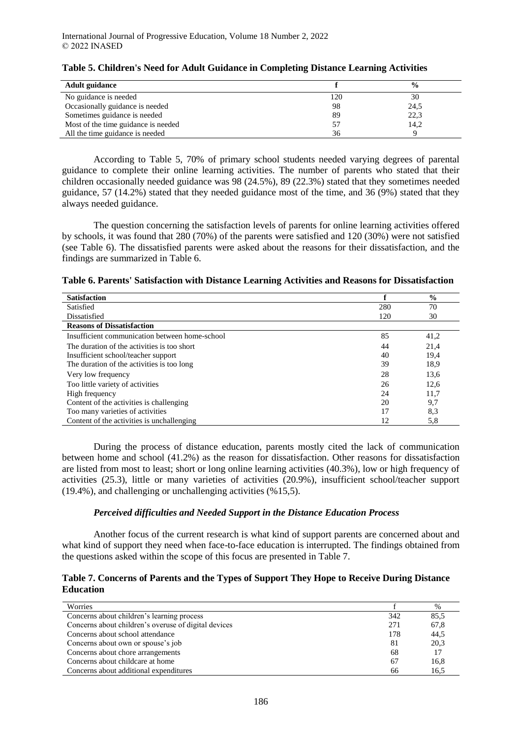| <b>Adult guidance</b>               |     | $\frac{6}{9}$ |
|-------------------------------------|-----|---------------|
| No guidance is needed               | 120 | 30            |
| Occasionally guidance is needed     | 98  | 24,5          |
| Sometimes guidance is needed        | 89  | 22,3          |
| Most of the time guidance is needed |     | 14,2          |
| All the time guidance is needed     | 36  |               |

# **Table 5. Children's Need for Adult Guidance in Completing Distance Learning Activities**

According to Table 5, 70% of primary school students needed varying degrees of parental guidance to complete their online learning activities. The number of parents who stated that their children occasionally needed guidance was 98 (24.5%), 89 (22.3%) stated that they sometimes needed guidance, 57 (14.2%) stated that they needed guidance most of the time, and 36 (9%) stated that they always needed guidance.

The question concerning the satisfaction levels of parents for online learning activities offered by schools, it was found that 280 (70%) of the parents were satisfied and 120 (30%) were not satisfied (see Table 6). The dissatisfied parents were asked about the reasons for their dissatisfaction, and the findings are summarized in Table 6.

|  | Table 6. Parents' Satisfaction with Distance Learning Activities and Reasons for Dissatisfaction |
|--|--------------------------------------------------------------------------------------------------|
|--|--------------------------------------------------------------------------------------------------|

| <b>Satisfaction</b>                            |     | $\frac{0}{0}$ |
|------------------------------------------------|-----|---------------|
| Satisfied                                      | 280 | 70            |
| Dissatisfied                                   | 120 | 30            |
| <b>Reasons of Dissatisfaction</b>              |     |               |
| Insufficient communication between home-school | 85  | 41,2          |
| The duration of the activities is too short    | 44  | 21,4          |
| Insufficient school/teacher support            | 40  | 19,4          |
| The duration of the activities is too long     | 39  | 18.9          |
| Very low frequency                             | 28  | 13,6          |
| Too little variety of activities               | 26  | 12,6          |
| High frequency                                 | 24  | 11,7          |
| Content of the activities is challenging       | 20  | 9,7           |
| Too many varieties of activities               | 17  | 8,3           |
| Content of the activities is unchallenging     | 12  | 5,8           |

During the process of distance education, parents mostly cited the lack of communication between home and school (41.2%) as the reason for dissatisfaction. Other reasons for dissatisfaction are listed from most to least; short or long online learning activities (40.3%), low or high frequency of activities (25.3), little or many varieties of activities (20.9%), insufficient school/teacher support (19.4%), and challenging or unchallenging activities (%15,5).

# *Perceived difficulties and Needed Support in the Distance Education Process*

Another focus of the current research is what kind of support parents are concerned about and what kind of support they need when face-to-face education is interrupted. The findings obtained from the questions asked within the scope of this focus are presented in Table 7.

### **Table 7. Concerns of Parents and the Types of Support They Hope to Receive During Distance Education**

| Worries                                              |     | %    |
|------------------------------------------------------|-----|------|
| Concerns about children's learning process           | 342 | 85.5 |
| Concerns about children's overuse of digital devices | 271 | 67,8 |
| Concerns about school attendance                     | 178 | 44.5 |
| Concerns about own or spouse's job                   | 81  | 20,3 |
| Concerns about chore arrangements                    | 68  | 17   |
| Concerns about childcare at home                     | 67  | 16,8 |
| Concerns about additional expenditures               | 66  | 16.5 |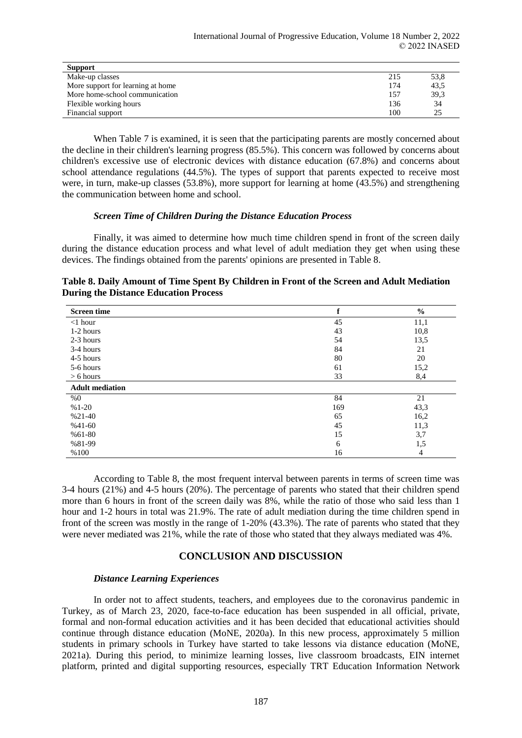| <b>Support</b>                    |     |      |
|-----------------------------------|-----|------|
| Make-up classes                   | 215 | 53,8 |
| More support for learning at home | 174 | 43,5 |
| More home-school communication    | 157 | 39.3 |
| Flexible working hours            | 136 | 34   |
| Financial support                 | 100 | າ 5  |

When Table 7 is examined, it is seen that the participating parents are mostly concerned about the decline in their children's learning progress (85.5%). This concern was followed by concerns about children's excessive use of electronic devices with distance education (67.8%) and concerns about school attendance regulations (44.5%). The types of support that parents expected to receive most were, in turn, make-up classes (53.8%), more support for learning at home (43.5%) and strengthening the communication between home and school.

### *Screen Time of Children During the Distance Education Process*

Finally, it was aimed to determine how much time children spend in front of the screen daily during the distance education process and what level of adult mediation they get when using these devices. The findings obtained from the parents' opinions are presented in Table 8.

|                                              | Table 8. Daily Amount of Time Spent By Children in Front of the Screen and Adult Mediation |  |
|----------------------------------------------|--------------------------------------------------------------------------------------------|--|
| <b>During the Distance Education Process</b> |                                                                                            |  |

| <b>Screen time</b>     | f   | $\frac{0}{0}$ |
|------------------------|-----|---------------|
| $<$ 1 hour             | 45  | 11,1          |
| 1-2 hours              | 43  | 10,8          |
| 2-3 hours              | 54  | 13,5          |
| 3-4 hours              | 84  | 21            |
| 4-5 hours              | 80  | 20            |
| 5-6 hours              | 61  | 15,2          |
| $> 6$ hours            | 33  | 8,4           |
| <b>Adult</b> mediation |     |               |
| %0                     | 84  | 21            |
| $%1-20$                | 169 | 43,3          |
| $%21-40$               | 65  | 16,2          |
| $%41-60$               | 45  | 11,3          |
| $%61-80$               | 15  | 3,7           |
| %81-99                 | 6   | 1,5           |
| %100                   | 16  | 4             |

According to Table 8, the most frequent interval between parents in terms of screen time was 3-4 hours (21%) and 4-5 hours (20%). The percentage of parents who stated that their children spend more than 6 hours in front of the screen daily was 8%, while the ratio of those who said less than 1 hour and 1-2 hours in total was 21.9%. The rate of adult mediation during the time children spend in front of the screen was mostly in the range of 1-20% (43.3%). The rate of parents who stated that they were never mediated was 21%, while the rate of those who stated that they always mediated was 4%.

# **CONCLUSION AND DISCUSSION**

### *Distance Learning Experiences*

In order not to affect students, teachers, and employees due to the coronavirus pandemic in Turkey, as of March 23, 2020, face-to-face education has been suspended in all official, private, formal and non-formal education activities and it has been decided that educational activities should continue through distance education (MoNE, 2020a). In this new process, approximately 5 million students in primary schools in Turkey have started to take lessons via distance education (MoNE, 2021a). During this period, to minimize learning losses, live classroom broadcasts, EIN internet platform, printed and digital supporting resources, especially TRT Education Information Network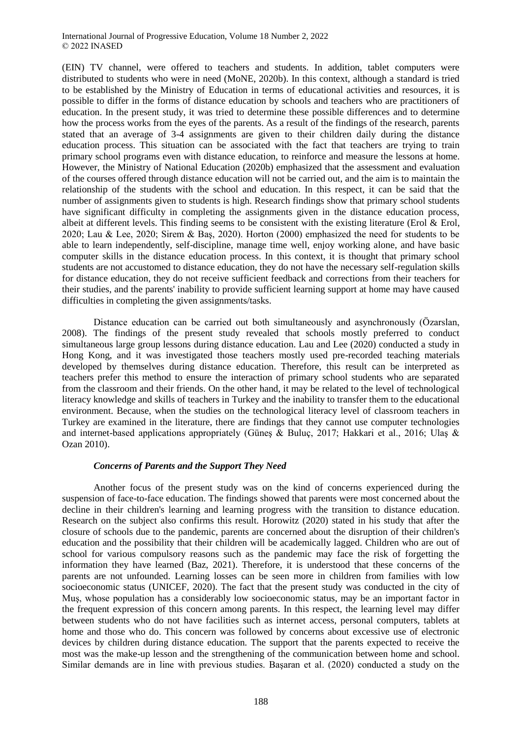(EIN) TV channel, were offered to teachers and students. In addition, tablet computers were distributed to students who were in need (MoNE, 2020b). In this context, although a standard is tried to be established by the Ministry of Education in terms of educational activities and resources, it is possible to differ in the forms of distance education by schools and teachers who are practitioners of education. In the present study, it was tried to determine these possible differences and to determine how the process works from the eyes of the parents. As a result of the findings of the research, parents stated that an average of 3-4 assignments are given to their children daily during the distance education process. This situation can be associated with the fact that teachers are trying to train primary school programs even with distance education, to reinforce and measure the lessons at home. However, the Ministry of National Education (2020b) emphasized that the assessment and evaluation of the courses offered through distance education will not be carried out, and the aim is to maintain the relationship of the students with the school and education. In this respect, it can be said that the number of assignments given to students is high. Research findings show that primary school students have significant difficulty in completing the assignments given in the distance education process, albeit at different levels. This finding seems to be consistent with the existing literature (Erol & Erol, 2020; Lau & Lee, 2020; Sirem & Baş, 2020). Horton (2000) emphasized the need for students to be able to learn independently, self-discipline, manage time well, enjoy working alone, and have basic computer skills in the distance education process. In this context, it is thought that primary school students are not accustomed to distance education, they do not have the necessary self-regulation skills for distance education, they do not receive sufficient feedback and corrections from their teachers for their studies, and the parents' inability to provide sufficient learning support at home may have caused difficulties in completing the given assignments/tasks.

Distance education can be carried out both simultaneously and asynchronously (Özarslan, 2008). The findings of the present study revealed that schools mostly preferred to conduct simultaneous large group lessons during distance education. Lau and Lee (2020) conducted a study in Hong Kong, and it was investigated those teachers mostly used pre-recorded teaching materials developed by themselves during distance education. Therefore, this result can be interpreted as teachers prefer this method to ensure the interaction of primary school students who are separated from the classroom and their friends. On the other hand, it may be related to the level of technological literacy knowledge and skills of teachers in Turkey and the inability to transfer them to the educational environment. Because, when the studies on the technological literacy level of classroom teachers in Turkey are examined in the literature, there are findings that they cannot use computer technologies and internet-based applications appropriately (Güneş & Buluç, 2017; Hakkari et al., 2016; Ulaş & Ozan 2010).

### *Concerns of Parents and the Support They Need*

Another focus of the present study was on the kind of concerns experienced during the suspension of face-to-face education. The findings showed that parents were most concerned about the decline in their children's learning and learning progress with the transition to distance education. Research on the subject also confirms this result. Horowitz (2020) stated in his study that after the closure of schools due to the pandemic, parents are concerned about the disruption of their children's education and the possibility that their children will be academically lagged. Children who are out of school for various compulsory reasons such as the pandemic may face the risk of forgetting the information they have learned (Baz, 2021). Therefore, it is understood that these concerns of the parents are not unfounded. Learning losses can be seen more in children from families with low socioeconomic status (UNICEF, 2020). The fact that the present study was conducted in the city of Muş, whose population has a considerably low socioeconomic status, may be an important factor in the frequent expression of this concern among parents. In this respect, the learning level may differ between students who do not have facilities such as internet access, personal computers, tablets at home and those who do. This concern was followed by concerns about excessive use of electronic devices by children during distance education. The support that the parents expected to receive the most was the make-up lesson and the strengthening of the communication between home and school. Similar demands are in line with previous studies. Başaran et al. (2020) conducted a study on the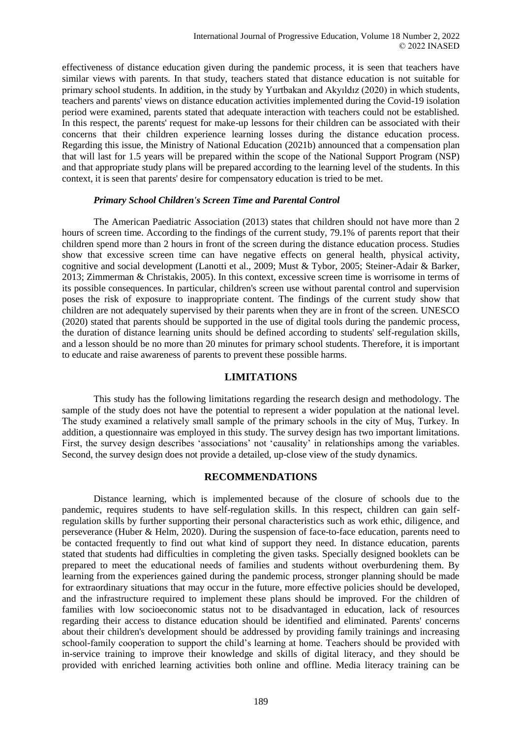effectiveness of distance education given during the pandemic process, it is seen that teachers have similar views with parents. In that study, teachers stated that distance education is not suitable for primary school students. In addition, in the study by Yurtbakan and Akyıldız (2020) in which students, teachers and parents' views on distance education activities implemented during the Covid-19 isolation period were examined, parents stated that adequate interaction with teachers could not be established. In this respect, the parents' request for make-up lessons for their children can be associated with their concerns that their children experience learning losses during the distance education process. Regarding this issue, the Ministry of National Education (2021b) announced that a compensation plan that will last for 1.5 years will be prepared within the scope of the National Support Program (NSP) and that appropriate study plans will be prepared according to the learning level of the students. In this context, it is seen that parents' desire for compensatory education is tried to be met.

# *Primary School Children's Screen Time and Parental Control*

The American Paediatric Association (2013) states that children should not have more than 2 hours of screen time. According to the findings of the current study, 79.1% of parents report that their children spend more than 2 hours in front of the screen during the distance education process. Studies show that excessive screen time can have negative effects on general health, physical activity, cognitive and social development (Lanotti et al., 2009; Must & Tybor, 2005; Steiner-Adair & Barker, 2013; Zimmerman & Christakis, 2005). In this context, excessive screen time is worrisome in terms of its possible consequences. In particular, children's screen use without parental control and supervision poses the risk of exposure to inappropriate content. The findings of the current study show that children are not adequately supervised by their parents when they are in front of the screen. UNESCO (2020) stated that parents should be supported in the use of digital tools during the pandemic process, the duration of distance learning units should be defined according to students' self-regulation skills, and a lesson should be no more than 20 minutes for primary school students. Therefore, it is important to educate and raise awareness of parents to prevent these possible harms.

# **LIMITATIONS**

This study has the following limitations regarding the research design and methodology. The sample of the study does not have the potential to represent a wider population at the national level. The study examined a relatively small sample of the primary schools in the city of Muş, Turkey. In addition, a questionnaire was employed in this study. The survey design has two important limitations. First, the survey design describes 'associations' not 'causality' in relationships among the variables. Second, the survey design does not provide a detailed, up-close view of the study dynamics.

# **RECOMMENDATIONS**

Distance learning, which is implemented because of the closure of schools due to the pandemic, requires students to have self-regulation skills. In this respect, children can gain selfregulation skills by further supporting their personal characteristics such as work ethic, diligence, and perseverance (Huber & Helm, 2020). During the suspension of face-to-face education, parents need to be contacted frequently to find out what kind of support they need. In distance education, parents stated that students had difficulties in completing the given tasks. Specially designed booklets can be prepared to meet the educational needs of families and students without overburdening them. By learning from the experiences gained during the pandemic process, stronger planning should be made for extraordinary situations that may occur in the future, more effective policies should be developed, and the infrastructure required to implement these plans should be improved. For the children of families with low socioeconomic status not to be disadvantaged in education, lack of resources regarding their access to distance education should be identified and eliminated. Parents' concerns about their children's development should be addressed by providing family trainings and increasing school-family cooperation to support the child's learning at home. Teachers should be provided with in-service training to improve their knowledge and skills of digital literacy, and they should be provided with enriched learning activities both online and offline. Media literacy training can be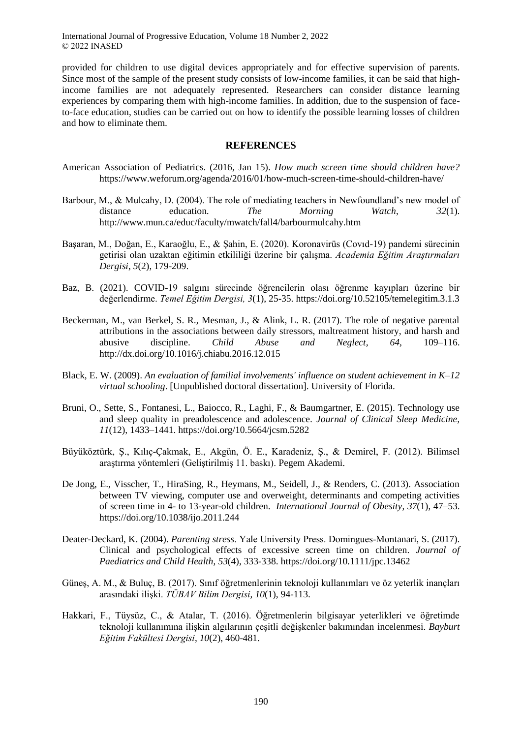provided for children to use digital devices appropriately and for effective supervision of parents. Since most of the sample of the present study consists of low-income families, it can be said that highincome families are not adequately represented. Researchers can consider distance learning experiences by comparing them with high-income families. In addition, due to the suspension of faceto-face education, studies can be carried out on how to identify the possible learning losses of children and how to eliminate them.

### **REFERENCES**

- American Association of Pediatrics. (2016, Jan 15). *How much screen time should children have?* https://www.weforum.org/agenda/2016/01/how-much-screen-time-should-children-have/
- Barbour, M., & Mulcahy, D. (2004). The role of mediating teachers in Newfoundland's new model of distance education. *The Morning Watch*, *32*(1). http://www.mun.ca/educ/faculty/mwatch/fall4/barbourmulcahy.htm
- Başaran, M., Doğan, E., Karaoğlu, E., & Şahin, E. (2020). Koronavirüs (Covıd-19) pandemi sürecinin getirisi olan uzaktan eğitimin etkililiği üzerine bir çalışma. *Academia Eğitim Araştırmaları Dergisi*, *5*(2), 179-209.
- Baz, B. (2021). COVID-19 salgını sürecinde öğrencilerin olası öğrenme kayıpları üzerine bir değerlendirme. *Temel Eğitim Dergisi, 3*(1), 25-35. https://doi.org/10.52105/temelegitim.3.1.3
- Beckerman, M., van Berkel, S. R., Mesman, J., & Alink, L. R. (2017). The role of negative parental attributions in the associations between daily stressors, maltreatment history, and harsh and abusive discipline. *Child Abuse and Neglect, 64,* 109–116. http://dx.doi.org/10.1016/j.chiabu.2016.12.015
- Black, E. W. (2009). *An evaluation of familial involvements' influence on student achievement in K–12 virtual schooling*. [Unpublished doctoral dissertation]. University of Florida.
- Bruni, O., Sette, S., Fontanesi, L., Baiocco, R., Laghi, F., & Baumgartner, E. (2015). Technology use and sleep quality in preadolescence and adolescence. *Journal of Clinical Sleep Medicine, 11*(12), 1433–1441. https://doi.org/10.5664/jcsm.5282
- Büyüköztürk, Ş., Kılıç-Çakmak, E., Akgün, Ö. E., Karadeniz, Ş., & Demirel, F. (2012). Bilimsel araştırma yöntemleri (Geliştirilmiş 11. baskı). Pegem Akademi.
- De Jong, E., Visscher, T., HiraSing, R., Heymans, M., Seidell, J., & Renders, C. (2013). Association between TV viewing, computer use and overweight, determinants and competing activities of screen time in 4- to 13-year-old children. *International Journal of Obesity*, *37*(1), 47–53. https://doi.org/10.1038/ijo.2011.244
- Deater-Deckard, K. (2004). *Parenting stress*. Yale University Press. Domingues‐Montanari, S. (2017). Clinical and psychological effects of excessive screen time on children. *Journal of Paediatrics and Child Health*, *53*(4), 333-338. https://doi.org/10.1111/jpc.13462
- Güneş, A. M., & Buluç, B. (2017). Sınıf öğretmenlerinin teknoloji kullanımları ve öz yeterlik inançları arasındaki ilişki. *TÜBAV Bilim Dergisi*, *10*(1), 94-113.
- Hakkari, F., Tüysüz, C., & Atalar, T. (2016). Öğretmenlerin bilgisayar yeterlikleri ve öğretimde teknoloji kullanımına ilişkin algılarının çeşitli değişkenler bakımından incelenmesi. *Bayburt Eğitim Fakültesi Dergisi*, *10*(2), 460-481.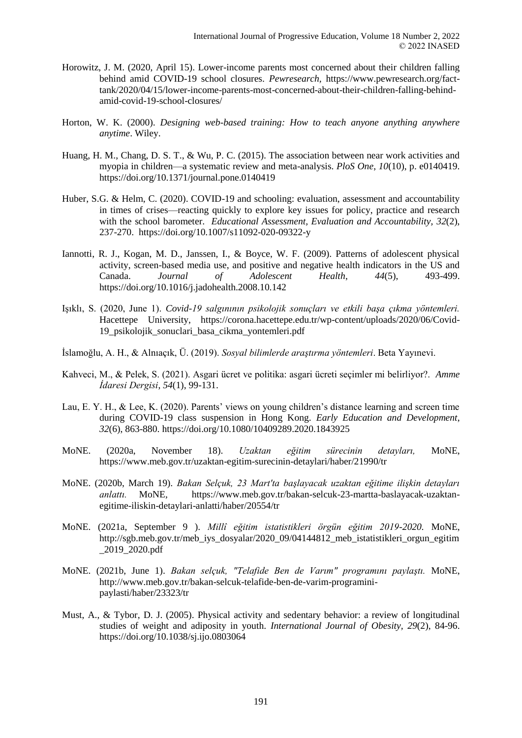- Horowitz, J. M. (2020, April 15). Lower-income parents most concerned about their children falling behind amid COVID-19 school closures. *Pewresearch,* https://www.pewresearch.org/facttank/2020/04/15/lower-income-parents-most-concerned-about-their-children-falling-behindamid-covid-19-school-closures/
- Horton, W. K. (2000). *Designing web-based training: How to teach anyone anything anywhere anytime*. Wiley.
- Huang, H. M., Chang, D. S. T., & Wu, P. C. (2015). The association between near work activities and myopia in children—a systematic review and meta-analysis. *PloS One*, *10*(10), p. e0140419. https://doi.org/10.1371/journal.pone.0140419
- Huber, S.G. & Helm, C. (2020). COVID-19 and schooling: evaluation, assessment and accountability in times of crises—reacting quickly to explore key issues for policy, practice and research with the school barometer. *Educational Assessment, Evaluation and Accountability, 32*(2), 237-270. https://doi.org/10.1007/s11092-020-09322-y
- Iannotti, R. J., Kogan, M. D., Janssen, I., & Boyce, W. F. (2009). Patterns of adolescent physical activity, screen-based media use, and positive and negative health indicators in the US and Canada. *Journal of Adolescent Health*, *44*(5), 493-499. https://doi.org/10.1016/j.jadohealth.2008.10.142
- Işıklı, S. (2020, June 1). *Covid-19 salgınının psikolojik sonuçları ve etkili başa çıkma yöntemleri.* Hacettepe University, https://corona.hacettepe.edu.tr/wp-content/uploads/2020/06/Covid-19\_psikolojik\_sonuclari\_basa\_cikma\_yontemleri.pdf
- İslamoğlu, A. H., & Alnıaçık, Ü. (2019). *Sosyal bilimlerde araştırma yöntemleri*. Beta Yayınevi.
- Kahveci, M., & Pelek, S. (2021). Asgari ücret ve politika: asgari ücreti seçimler mi belirliyor?. *Amme İdaresi Dergisi*, *54*(1), 99-131.
- Lau, E. Y. H., & Lee, K. (2020). Parents' views on young children's distance learning and screen time during COVID-19 class suspension in Hong Kong. *Early Education and Development*, *32*(6), 863-880. https://doi.org/10.1080/10409289.2020.1843925
- MoNE. (2020a, November 18). *Uzaktan eğitim sürecinin detayları,* MoNE, https://www.meb.gov.tr/uzaktan-egitim-surecinin-detaylari/haber/21990/tr
- MoNE. (2020b, March 19). *Bakan Selçuk, 23 Mart'ta başlayacak uzaktan eğitime ilişkin detayları anlattı.* MoNE*,* https://www.meb.gov.tr/bakan-selcuk-23-martta-baslayacak-uzaktanegitime-iliskin-detaylari-anlatti/haber/20554/tr
- MoNE. (2021a, September 9 ). *Millî eğitim istatistikleri örgün eğitim 2019-2020.* MoNE, http://sgb.meb.gov.tr/meb\_iys\_dosyalar/2020\_09/04144812\_meb\_istatistikleri\_orgun\_egitim \_2019\_2020.pdf
- MoNE. (2021b, June 1). *Bakan selçuk, "Telafide Ben de Varım" programını paylaştı.* MoNE, http://www.meb.gov.tr/bakan-selcuk-telafide-ben-de-varim-programinipaylasti/haber/23323/tr
- Must, A., & Tybor, D. J. (2005). Physical activity and sedentary behavior: a review of longitudinal studies of weight and adiposity in youth. *International Journal of Obesity, 29*(2), 84-96. https://doi.org/10.1038/sj.ijo.0803064